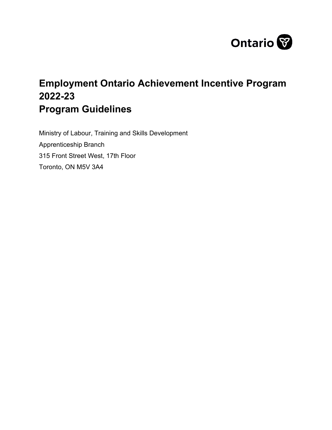

# **Employment Ontario Achievement Incentive Program 2022-23 Program Guidelines**

Ministry of Labour, Training and Skills Development Apprenticeship Branch 315 Front Street West, 17th Floor Toronto, ON M5V 3A4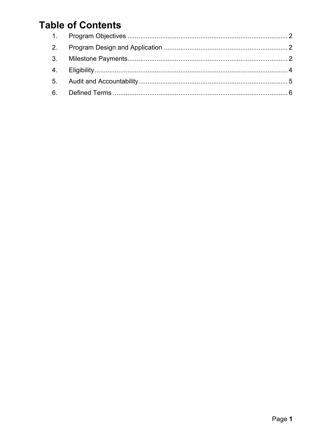# **Table of Contents**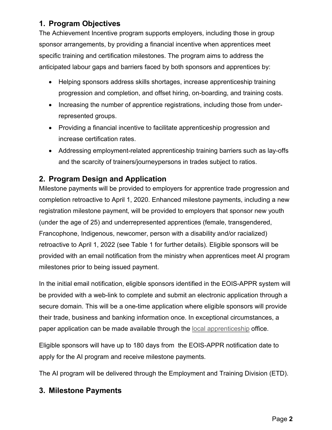### <span id="page-2-0"></span>**1. Program Objectives**

The Achievement Incentive program supports employers, including those in group sponsor arrangements, by providing a financial incentive when apprentices meet specific training and certification milestones. The program aims to address the anticipated labour gaps and barriers faced by both sponsors and apprentices by:

- Helping sponsors address skills shortages, increase apprenticeship training progression and completion, and offset hiring, on-boarding, and training costs.
- Increasing the number of apprentice registrations, including those from underrepresented groups.
- Providing a financial incentive to facilitate apprenticeship progression and increase certification rates.
- Addressing employment-related apprenticeship training barriers such as lay-offs and the scarcity of trainers/journeypersons in trades subject to ratios.

### <span id="page-2-1"></span>**2. Program Design and Application**

Milestone payments will be provided to employers for apprentice trade progression and completion retroactive to April 1, 2020. Enhanced milestone payments, including a new registration milestone payment, will be provided to employers that sponsor new youth (under the age of 25) and underrepresented apprentices (female, transgendered, Francophone, Indigenous, newcomer, person with a disability and/or racialized) retroactive to April 1, 2022 (see Table 1 for further details). Eligible sponsors will be provided with an email notification from the ministry when apprentices meet AI program milestones prior to being issued payment.

In the initial email notification, eligible sponsors identified in the EOIS-APPR system will be provided with a web-link to complete and submit an electronic application through a secure domain. This will be a one-time application where eligible sponsors will provide their trade, business and banking information once. In exceptional circumstances, a paper application can be made available through the [local apprenticeship](https://www.ontario.ca/page/employment-ontario-apprenticeship-offices) office.

Eligible sponsors will have up to 180 days from the EOIS-APPR notification date to apply for the AI program and receive milestone payments.

The AI program will be delivered through the Employment and Training Division (ETD).

#### <span id="page-2-2"></span>**3. Milestone Payments**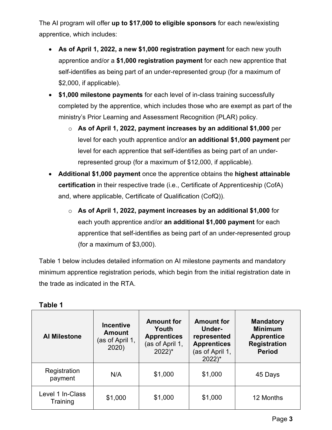The AI program will offer **up to \$17,000 to eligible sponsors** for each new/existing apprentice, which includes:

- **As of April 1, 2022, a new \$1,000 registration payment** for each new youth apprentice and/or a **\$1,000 registration payment** for each new apprentice that self-identifies as being part of an under-represented group (for a maximum of \$2,000, if applicable).
- **\$1,000 milestone payments** for each level of in-class training successfully completed by the apprentice, which includes those who are exempt as part of the ministry's Prior Learning and Assessment Recognition (PLAR) policy.
	- o **As of April 1, 2022, payment increases by an additional \$1,000** per level for each youth apprentice and/or **an additional \$1,000 payment** per level for each apprentice that self-identifies as being part of an underrepresented group (for a maximum of \$12,000, if applicable).
- **Additional \$1,000 payment** once the apprentice obtains the **highest attainable certification** in their respective trade (i.e., Certificate of Apprenticeship (CofA) and, where applicable, Certificate of Qualification (CofQ)).
	- o **As of April 1, 2022, payment increases by an additional \$1,000** for each youth apprentice and/or **an additional \$1,000 payment** for each apprentice that self-identifies as being part of an under-represented group (for a maximum of \$3,000).

Table 1 below includes detailed information on AI milestone payments and mandatory minimum apprentice registration periods, which begin from the initial registration date in the trade as indicated in the RTA.

| <b>Al Milestone</b>          | <b>Incentive</b><br><b>Amount</b><br>(as of April 1,<br>2020) | <b>Amount for</b><br>Youth<br><b>Apprentices</b><br>(as of April 1,<br>$2022$ <sup>*</sup> | <b>Amount for</b><br><b>Under-</b><br>represented<br><b>Apprentices</b><br>(as of April 1,<br>$2022$ <sup>*</sup> | <b>Mandatory</b><br><b>Minimum</b><br><b>Apprentice</b><br><b>Registration</b><br><b>Period</b> |
|------------------------------|---------------------------------------------------------------|--------------------------------------------------------------------------------------------|-------------------------------------------------------------------------------------------------------------------|-------------------------------------------------------------------------------------------------|
| Registration<br>payment      | N/A                                                           | \$1,000                                                                                    | \$1,000                                                                                                           | 45 Days                                                                                         |
| Level 1 In-Class<br>Training | \$1,000                                                       | \$1,000                                                                                    | \$1,000                                                                                                           | 12 Months                                                                                       |

| Table |  |
|-------|--|
|-------|--|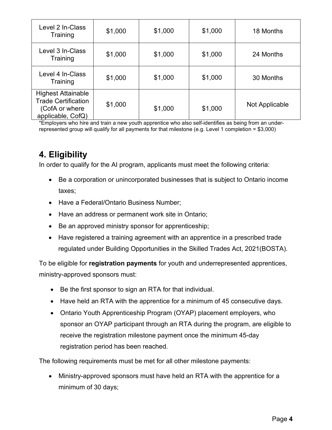| Level 2 In-Class<br>Training                                                                   | \$1,000 | \$1,000 | \$1,000 | 18 Months      |
|------------------------------------------------------------------------------------------------|---------|---------|---------|----------------|
| Level 3 In-Class<br>Training                                                                   | \$1,000 | \$1,000 | \$1,000 | 24 Months      |
| Level 4 In-Class<br>Training                                                                   | \$1,000 | \$1,000 | \$1,000 | 30 Months      |
| <b>Highest Attainable</b><br><b>Trade Certification</b><br>(CofA or where<br>applicable, CofQ) | \$1,000 | \$1,000 | \$1,000 | Not Applicable |

\*Employers who hire and train a new youth apprentice who also self-identifies as being from an underrepresented group will qualify for all payments for that milestone (e.g. Level 1 completion = \$3,000)

## <span id="page-4-0"></span>**4. Eligibility**

In order to qualify for the AI program, applicants must meet the following criteria:

- Be a corporation or unincorporated businesses that is subject to Ontario income taxes;
- Have a Federal/Ontario Business Number;
- Have an address or permanent work site in Ontario;
- Be an approved ministry sponsor for apprenticeship;
- Have registered a training agreement with an apprentice in a prescribed trade regulated under Building Opportunities in the Skilled Trades Act, 2021(BOSTA).

To be eligible for **registration payments** for youth and underrepresented apprentices, ministry-approved sponsors must:

- Be the first sponsor to sign an RTA for that individual.
- Have held an RTA with the apprentice for a minimum of 45 consecutive days.
- Ontario Youth Apprenticeship Program (OYAP) placement employers, who sponsor an OYAP participant through an RTA during the program, are eligible to receive the registration milestone payment once the minimum 45-day registration period has been reached.

The following requirements must be met for all other milestone payments:

• Ministry-approved sponsors must have held an RTA with the apprentice for a minimum of 30 days;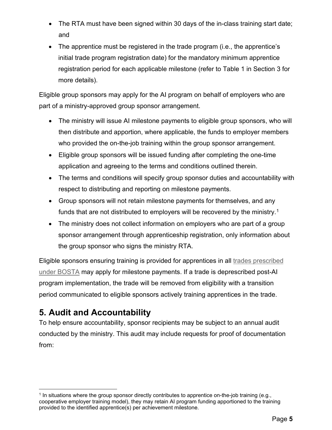- The RTA must have been signed within 30 days of the in-class training start date; and
- The apprentice must be registered in the trade program (i.e., the apprentice's initial trade program registration date) for the mandatory minimum apprentice registration period for each applicable milestone (refer to Table 1 in Section 3 for more details).

Eligible group sponsors may apply for the AI program on behalf of employers who are part of a ministry-approved group sponsor arrangement.

- The ministry will issue AI milestone payments to eligible group sponsors, who will then distribute and apportion, where applicable, the funds to employer members who provided the on-the-job training within the group sponsor arrangement.
- Eligible group sponsors will be issued funding after completing the one-time application and agreeing to the terms and conditions outlined therein.
- The terms and conditions will specify group sponsor duties and accountability with respect to distributing and reporting on milestone payments.
- Group sponsors will not retain milestone payments for themselves, and any funds that are not distributed to employers will be recovered by the ministry.<sup>[1](#page-5-1)</sup>
- The ministry does not collect information on employers who are part of a group sponsor arrangement through apprenticeship registration, only information about the group sponsor who signs the ministry RTA.

Eligible sponsors ensuring training is provided for apprentices in all [trades prescribed](https://www.ontario.ca/page/list-skilled-trades-ontario#section-1)  [under](https://www.ontario.ca/page/list-skilled-trades-ontario#section-1) BOSTA may apply for milestone payments. If a trade is deprescribed post-AI program implementation, the trade will be removed from eligibility with a transition period communicated to eligible sponsors actively training apprentices in the trade.

## <span id="page-5-0"></span>**5. Audit and Accountability**

To help ensure accountability, sponsor recipients may be subject to an annual audit conducted by the ministry. This audit may include requests for proof of documentation from:

<span id="page-5-1"></span><sup>1</sup> In situations where the group sponsor directly contributes to apprentice on-the-job training (e.g., cooperative employer training model), they may retain AI program funding apportioned to the training provided to the identified apprentice(s) per achievement milestone.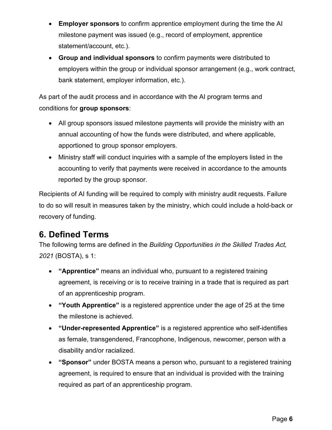- **Employer sponsors** to confirm apprentice employment during the time the AI milestone payment was issued (e.g., record of employment, apprentice statement/account, etc.).
- **Group and individual sponsors** to confirm payments were distributed to employers within the group or individual sponsor arrangement (e.g., work contract, bank statement, employer information, etc.).

As part of the audit process and in accordance with the AI program terms and conditions for **group sponsors**:

- All group sponsors issued milestone payments will provide the ministry with an annual accounting of how the funds were distributed, and where applicable, apportioned to group sponsor employers.
- Ministry staff will conduct inquiries with a sample of the employers listed in the accounting to verify that payments were received in accordance to the amounts reported by the group sponsor.

Recipients of AI funding will be required to comply with ministry audit requests. Failure to do so will result in measures taken by the ministry, which could include a hold-back or recovery of funding.

## <span id="page-6-0"></span>**6. Defined Terms**

The following terms are defined in the *Building Opportunities in the Skilled Trades Act, 2021* (BOSTA), s 1:

- **"Apprentice"** means an individual who, pursuant to a registered training agreement, is receiving or is to receive training in a trade that is required as part of an apprenticeship program.
- **"Youth Apprentice"** is a registered apprentice under the age of 25 at the time the milestone is achieved.
- **"Under-represented Apprentice"** is a registered apprentice who self-identifies as female, transgendered, Francophone, Indigenous, newcomer, person with a disability and/or racialized.
- **"Sponsor"** under BOSTA means a person who, pursuant to a registered training agreement, is required to ensure that an individual is provided with the training required as part of an apprenticeship program.